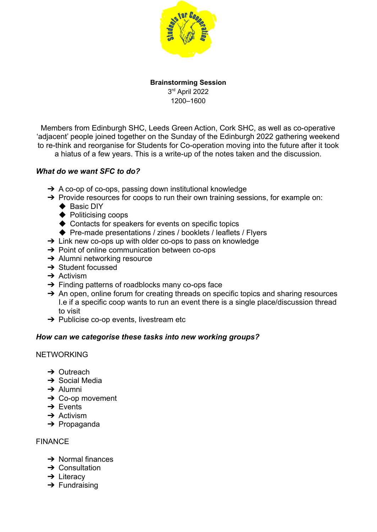

### **Brainstorming Session** 3 rd April 2022 1200–1600

Members from Edinburgh SHC, Leeds Green Action, Cork SHC, as well as co-operative 'adjacent' people joined together on the Sunday of the Edinburgh 2022 gathering weekend to re-think and reorganise for Students for Co-operation moving into the future after it took

a hiatus of a few years. This is a write-up of the notes taken and the discussion.

## *What do we want SFC to do?*

- **→** A co-op of co-ops, passing down institutional knowledge
- ➔ Provide resources for coops to run their own training sessions, for example on:
	- ◆ Basic DIY
	- ◆ Politicising coops
	- ◆ Contacts for speakers for events on specific topics
	- ◆ Pre-made presentations / zines / booklets / leaflets / Flyers
- $\rightarrow$  Link new co-ops up with older co-ops to pass on knowledge
- **→** Point of online communication between co-ops
- **→** Alumni networking resource
- **→ Student focussed**
- $\rightarrow$  Activism
- $\rightarrow$  Finding patterns of roadblocks many co-ops face
- → An open, online forum for creating threads on specific topics and sharing resources I.e if a specific coop wants to run an event there is a single place/discussion thread to visit
- $\rightarrow$  Publicise co-op events, livestream etc

### *How can we categorise these tasks into new working groups?*

### NETWORKING

- **→ Outreach**
- **→ Social Media**
- $\rightarrow$  Alumni
- **→ Co-op movement**
- **→** Events
- $\rightarrow$  Activism
- ➔ Propaganda

### FINANCE

- $\rightarrow$  Normal finances
- **→ Consultation**
- $\rightarrow$  Literacy
- $\rightarrow$  Fundraising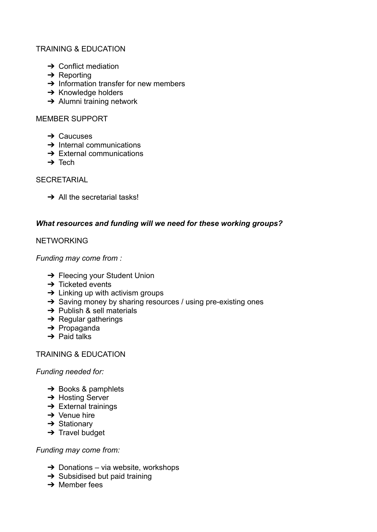# TRAINING & EDUCATION

- $\rightarrow$  Conflict mediation
- $\rightarrow$  Reporting
- $\rightarrow$  Information transfer for new members
- **→ Knowledge holders**
- $\rightarrow$  Alumni training network

### MEMBER SUPPORT

- **→ Caucuses**
- $\rightarrow$  Internal communications
- $\rightarrow$  External communications
- $\rightarrow$  Tech

### **SECRETARIAL**

 $\rightarrow$  All the secretarial tasks!

## *What resources and funding will we need for these working groups?*

## **NETWORKING**

*Funding may come from :*

- **→ Fleecing your Student Union**
- $\rightarrow$  Ticketed events
- $\rightarrow$  Linking up with activism groups
- ➔ Saving money by sharing resources / using pre-existing ones
- **→** Publish & sell materials
- $\rightarrow$  Regular gatherings
- ➔ Propaganda
- $\rightarrow$  Paid talks

### TRAINING & EDUCATION

### *Funding needed for:*

- $\rightarrow$  Books & pamphlets
- **→ Hosting Server**
- $\rightarrow$  External trainings
- $\rightarrow$  Venue hire
- **→ Stationary**
- $\rightarrow$  Travel budget

### *Funding may come from:*

- $\rightarrow$  Donations via website, workshops
- $\rightarrow$  Subsidised but paid training
- $\rightarrow$  Member fees